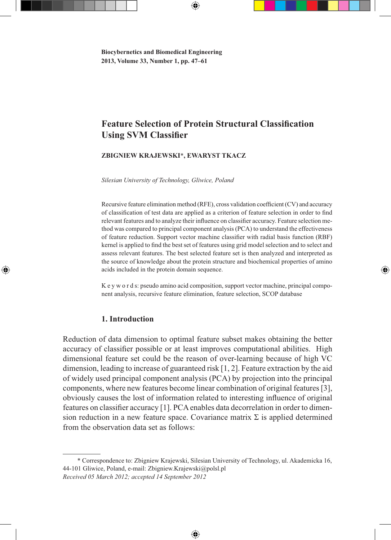**Biocybernetics and Biomedical Engineering 2013, Volume 33, Number 1, pp. 47–61**

# **Feature Selection of Protein Structural Classification Using SVM Classifier**

#### **ZBIGNIEW KRAJEWSKI**\***, EWARYST TKACZ**

*Silesian University of Technology, Gliwice, Poland*

Recursive feature elimination method (RFE), cross validation coefficient (CV) and accuracy of classification of test data are applied as a criterion of feature selection in order to find relevant features and to analyze their influence on classifier accuracy. Feature selection method was compared to principal component analysis (PCA) to understand the effectiveness of feature reduction. Support vector machine classifier with radial basis function (RBF) kernel is applied to find the best set of features using grid model selection and to select and assess relevant features. The best selected feature set is then analyzed and interpreted as the source of knowledge about the protein structure and biochemical properties of amino acids included in the protein domain sequence.

K e y w o r d s: pseudo amino acid composition, support vector machine, principal component analysis, recursive feature elimination, feature selection, SCOP database

⊕

# **1. Introduction**

⊕

Reduction of data dimension to optimal feature subset makes obtaining the better accuracy of classifier possible or at least improves computational abilities. High dimensional feature set could be the reason of over-learning because of high VC dimension, leading to increase of guaranteed risk [1, 2]. Feature extraction by the aid of widely used principal component analysis (PCA) by projection into the principal components, where new features become linear combination of original features [3], obviously causes the lost of information related to interesting influence of original features on classifier accuracy [1]. PCA enables data decorrelation in order to dimension reduction in a new feature space. Covariance matrix  $\Sigma$  is applied determined from the observation data set as follows:

⊕

 <sup>\*</sup> Correspondence to: Zbigniew Krajewski, Silesian University of Technology, ul. Akademicka 16, 44-101 Gliwice, Poland, e-mail: Zbigniew.Krajewski@polsl.pl *Received 05 March 2012; accepted 14 September 2012*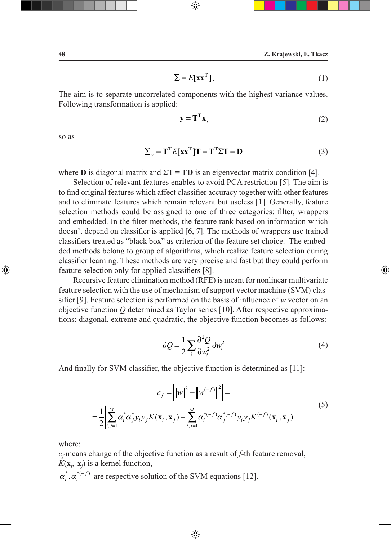**48 Z. Krajewski, E. Tkacz**

↔

$$
\Sigma = E[\mathbf{x}\mathbf{x}^{\mathrm{T}}]. \tag{1}
$$

The aim is to separate uncorrelated components with the highest variance values. Following transformation is applied:

⊕

$$
\mathbf{y} = \mathbf{T}^{\mathrm{T}} \mathbf{x},\tag{2}
$$

so as

⊕

$$
\sum_{y} = \mathbf{T}^{T} E[\mathbf{x}\mathbf{x}^{T}] \mathbf{T} = \mathbf{T}^{T} \Sigma \mathbf{T} = \mathbf{D}
$$
 (3)

where **D** is diagonal matrix and  $\Sigma T = TD$  is an eigenvector matrix condition [4].

 Selection of relevant features enables to avoid PCA restriction [5]. The aim is to find original features which affect classifier accuracy together with other features and to eliminate features which remain relevant but useless [1]. Generally, feature selection methods could be assigned to one of three categories: filter, wrappers and embedded. In the filter methods, the feature rank based on information which doesn't depend on classifier is applied [6, 7]. The methods of wrappers use trained classifiers treated as "black box" as criterion of the feature set choice. The embedded methods belong to group of algorithms, which realize feature selection during classifier learning. These methods are very precise and fast but they could perform feature selection only for applied classifiers [8].

 Recursive feature elimination method (RFE) is meant for nonlinear multivariate feature selection with the use of mechanism of support vector machine (SVM) classifier [9]. Feature selection is performed on the basis of influence of *w* vector on an objective function *Q* determined as Taylor series [10]. After respective approximations: diagonal, extreme and quadratic, the objective function becomes as follows:

$$
\partial Q = \frac{1}{2} \sum_{i} \frac{\partial^2 Q}{\partial w_i^2} \partial w_i^2.
$$
 (4)

And finally for SVM classifier, the objective function is determined as [11]:

$$
c_f = ||w||^2 - ||w^{(-f)}||^2 =
$$
  
= 
$$
\frac{1}{2} \left| \sum_{i,j=1}^{M} \alpha_i^* \alpha_j^* y_i y_j K(\mathbf{x}_i, \mathbf{x}_j) - \sum_{i,j=1}^{M} \alpha_i^{*(-f)} \alpha_j^{*(-f)} y_i y_j K^{(-f)}(\mathbf{x}_i, \mathbf{x}_j) \right|
$$
 (5)

where:

*cf* means change of the objective function as a result of *f*-th feature removal,  $K(\mathbf{x}_i, \mathbf{x}_j)$  is a kernel function,

⊕

 $\alpha_i^*, \alpha_i^{*(-f)}$  are respective solution of the SVM equations [12].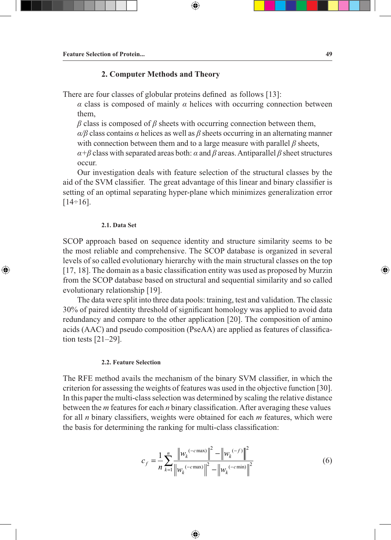# **2. Computer Methods and Theory**

There are four classes of globular proteins defined as follows [13]:

 *α* class is composed of mainly *α* helices with occurring connection between them,

 *β* class is composed of *β* sheets with occurring connection between them,

⊕

 $α/β$  class contains *α* helices as well as  $β$  sheets occurring in an alternating manner

 with connection between them and to a large measure with parallel *β* sheets,  $\alpha + \beta$  class with separated areas both:  $\alpha$  and  $\beta$  areas. Antiparallel  $\beta$  sheet structures occur.

 Our investigation deals with feature selection of the structural classes by the aid of the SVM classifier. The great advantage of this linear and binary classifier is setting of an optimal separating hyper-plane which minimizes generalization error  $[14 \div 16]$ .

#### **2.1. Data Set**

⊕

SCOP approach based on sequence identity and structure similarity seems to be the most reliable and comprehensive. The SCOP database is organized in several levels of so called evolutionary hierarchy with the main structural classes on the top [17, 18]. The domain as a basic classification entity was used as proposed by Murzin from the SCOP database based on structural and sequential similarity and so called evolutionary relationship [19].

 The data were split into three data pools: training, test and validation. The classic 30% of paired identity threshold of significant homology was applied to avoid data redundancy and compare to the other application [20]. The composition of amino acids (AAC) and pseudo composition (PseAA) are applied as features of classification tests  $[21-29]$ .

## **2.2. Feature Selection**

The RFE method avails the mechanism of the binary SVM classifier, in which the criterion for assessing the weights of features was used in the objective function [30]. In this paper the multi-class selection was determined by scaling the relative distance between the *m* features for each *n* binary classification. After averaging these values for all *n* binary classifiers, weights were obtained for each *m* features, which were the basis for determining the ranking for multi-class classification:

⊕

$$
c_f = \frac{1}{n} \sum_{k=1}^{n} \frac{\left\| w_k^{(-c \max)} \right\|^2 - \left\| w_k^{(-f)} \right\|^2}{\left\| w_k^{(-c \max)} \right\|^2 - \left\| w_k^{(-c \min)} \right\|^2}
$$
(6)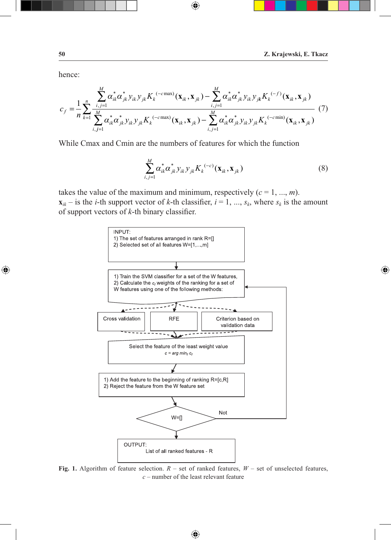hence:

$$
c_f = \frac{1}{n} \sum_{k=1}^{n} \frac{\sum_{i,j=1}^{M} \alpha_{ik}^* \alpha_{jk}^* y_{ik} y_{jk} K_k^{(-c \max)}(\mathbf{x}_{ik}, \mathbf{x}_{jk}) - \sum_{i,j=1}^{M} \alpha_{ik}^* \alpha_{jk}^* y_{ik} y_{jk} K_k^{(-f)}(\mathbf{x}_{ik}, \mathbf{x}_{jk})}{\sum_{i,j=1}^{M} \alpha_{ik}^* \alpha_{jk}^* y_{ik} y_{jk} K_k^{(-c \max)}(\mathbf{x}_{ik}, \mathbf{x}_{jk}) - \sum_{i,j=1}^{M} \alpha_{ik}^* \alpha_{jk}^* y_{ik} y_{jk} K_k^{(-c \min)}(\mathbf{x}_{ik}, \mathbf{x}_{jk})}
$$
(7)

⊕

While Cmax and Cmin are the numbers of features for which the function

$$
\sum_{i,j=1}^{M} \alpha_{ik}^* \alpha_{jk}^* y_{ik} y_{jk} K_k^{(-c)}(\mathbf{x}_{ik}, \mathbf{x}_{jk})
$$
(8)

takes the value of the maximum and minimum, respectively  $(c = 1, ..., m)$ .  $\mathbf{x}_{ik}$  – is the *i*-th support vector of *k*-th classifier,  $i = 1, ..., s_k$ , where  $s_k$  is the amount of support vectors of *k*-th binary classifier.



**Fig. 1.** Algorithm of feature selection.  $R$  – set of ranked features,  $W$  – set of unselected features, *c* – number of the least relevant feature

€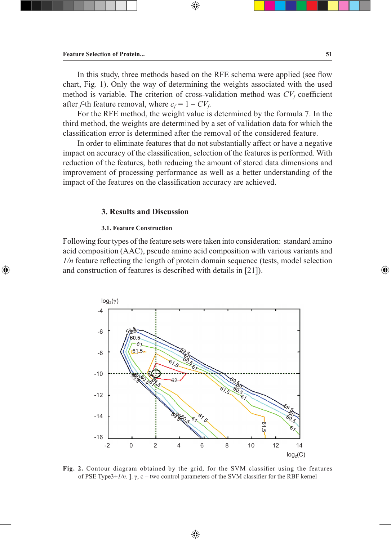In this study, three methods based on the RFE schema were applied (see flow chart, Fig. 1). Only the way of determining the weights associated with the used method is variable. The criterion of cross-validation method was  $CV_f$  coefficient after *f*-th feature removal, where  $c_f = 1 - CV_f$ .

⊕

 For the RFE method, the weight value is determined by the formula 7. In the third method, the weights are determined by a set of validation data for which the classification error is determined after the removal of the considered feature.

 In order to eliminate features that do not substantially affect or have a negative impact on accuracy of the classification, selection of the features is performed. With reduction of the features, both reducing the amount of stored data dimensions and improvement of processing performance as well as a better understanding of the impact of the features on the classification accuracy are achieved.

## **3. Results and Discussion**

## **3.1. Feature Construction**

⊕

Following four types of the feature sets were taken into consideration: standard amino acid composition (AAC), pseudo amino acid composition with various variants and *1/n* feature reflecting the length of protein domain sequence (tests, model selection and construction of features is described with details in [21]).



**Fig. 2.** Contour diagram obtained by the grid, for the SVM classifier using the features of PSE Type3+*1/n.* ]. γ, c – two control parameters of the SVM classifier for the RBF kernel

⊕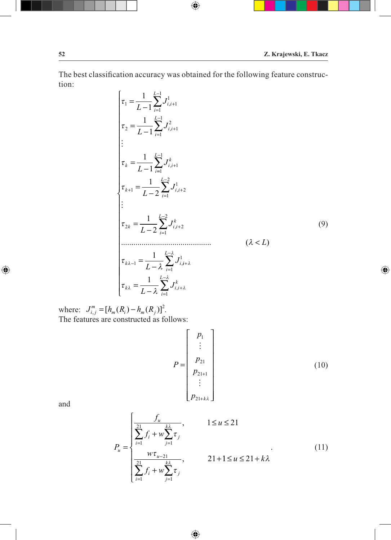$\bigoplus$ 

The best classification accuracy was obtained for the following feature construction:

 $\bigoplus$ 

$$
\begin{cases}\n\tau_{1} = \frac{1}{L-1} \sum_{i=1}^{L-1} J_{i,i+1}^{1} \\
\tau_{2} = \frac{1}{L-1} \sum_{i=1}^{L-1} J_{i,i+1}^{2} \\
\vdots \\
\tau_{k} = \frac{1}{L-1} \sum_{i=1}^{L-1} J_{i,i+1}^{k} \\
\tau_{k+1} = \frac{1}{L-2} \sum_{i=1}^{L-2} J_{i,i+2}^{1} \\
\vdots \\
\tau_{2k} = \frac{1}{L-2} \sum_{i=1}^{L-2} J_{i,i+2}^{k} \\
\vdots \\
\tau_{k\lambda-1} = \frac{1}{L-\lambda} \sum_{i=1}^{L-\lambda} J_{i,i+\lambda}^{1} \\
\tau_{k\lambda} = \frac{1}{L-\lambda} \sum_{i=1}^{L-\lambda} J_{i,i+\lambda}^{k}\n\end{cases}
$$
\n(9)

where:  $J_{i,j}^m = [h_m(R_i) - h_m(R_j)]^2$ . The features are constructed as follows:

$$
P = \begin{bmatrix} p_1 \\ \vdots \\ p_{21} \\ p_{21+1} \\ \vdots \\ p_{21+k\lambda} \end{bmatrix}
$$
 (10)

and

 $\bigoplus$ 

$$
P_{u} = \begin{cases} \frac{f_{u}}{\sum_{i=1}^{21} f_{i} + w \sum_{j=1}^{k\lambda} \tau_{j}}, & 1 \le u \le 21\\ \frac{w\tau_{u-21}}{\sum_{i=1}^{21} f_{i} + w \sum_{j=1}^{k\lambda} \tau_{j}}, & 21+1 \le u \le 21 + k\lambda \end{cases}
$$
(11)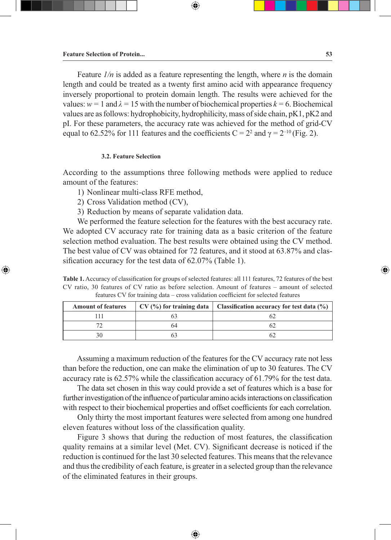⊕

 Feature *1/n* is added as a feature representing the length, where *n* is the domain length and could be treated as a twenty first amino acid with appearance frequency inversely proportional to protein domain length. The results were achieved for the values:  $w = 1$  and  $\lambda = 15$  with the number of biochemical properties  $k = 6$ . Biochemical values are as follows: hydrophobicity, hydrophilicity, mass of side chain, pK1, pK2 and pI. For these parameters, the accuracy rate was achieved for the method of grid-CV equal to 62.52% for 111 features and the coefficients  $C = 2^2$  and  $\gamma = 2^{-10}$  (Fig. 2).

#### **3.2. Feature Selection**

According to the assumptions three following methods were applied to reduce amount of the features:

1) Nonlinear multi-class RFE method,

2) Cross Validation method (CV),

3) Reduction by means of separate validation data.

 We performed the feature selection for the features with the best accuracy rate. We adopted CV accuracy rate for training data as a basic criterion of the feature selection method evaluation. The best results were obtained using the CV method. The best value of CV was obtained for 72 features, and it stood at 63.87% and classification accuracy for the test data of 62.07% (Table 1).

**Table 1.** Accuracy of classification for groups of selected features: all 111 features, 72 features of the best CV ratio, 30 features of CV ratio as before selection. Amount of features – amount of selected features CV for training data – cross validation coefficient for selected features

| <b>Amount of features</b> | $CV(%)$ for training data   Classification accuracy for test data $(*)$ |
|---------------------------|-------------------------------------------------------------------------|
|                           |                                                                         |
|                           |                                                                         |
|                           |                                                                         |

 Assuming a maximum reduction of the features for the CV accuracy rate not less than before the reduction, one can make the elimination of up to 30 features. The CV accuracy rate is 62.57% while the classification accuracy of 61.79% for the test data.

 The data set chosen in this way could provide a set of features which is a base for further investigation of the influence of particular amino acids interactions on classification with respect to their biochemical properties and offset coefficients for each correlation.

 Only thirty the most important features were selected from among one hundred eleven features without loss of the classification quality.

 Figure 3 shows that during the reduction of most features, the classification quality remains at a similar level (Met. CV). Significant decrease is noticed if the reduction is continued for the last 30 selected features. This means that the relevance and thus the credibility of each feature, is greater in a selected group than the relevance of the eliminated features in their groups.

⊕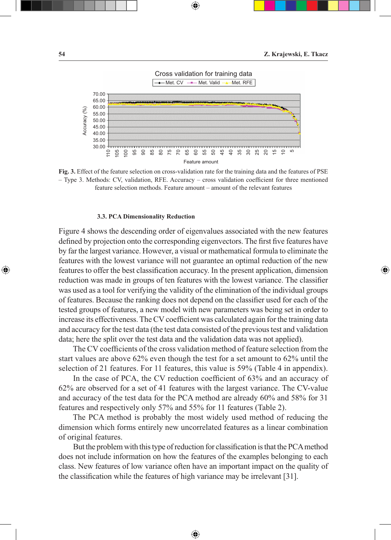↔



 $\textcircled{\scriptsize\textsf{P}}$ 

**Fig. 3.** Effect of the feature selection on cross-validation rate for the training data and the features of PSE – Type 3. Methods: CV, validation, RFE. Accuracy – cross validation coefficient for three mentioned feature selection methods. Feature amount – amount of the relevant features

#### **3.3. PCA Dimensionality Reduction**

Figure 4 shows the descending order of eigenvalues associated with the new features defined by projection onto the corresponding eigenvectors. The first five features have by far the largest variance. However, a visual or mathematical formula to eliminate the features with the lowest variance will not guarantee an optimal reduction of the new features to offer the best classification accuracy. In the present application, dimension reduction was made in groups of ten features with the lowest variance. The classifier was used as a tool for verifying the validity of the elimination of the individual groups of features. Because the ranking does not depend on the classifier used for each of the tested groups of features, a new model with new parameters was being set in order to increase its effectiveness. The CV coefficient was calculated again for the training data and accuracy for the test data (the test data consisted of the previous test and validation data; here the split over the test data and the validation data was not applied).

 The CV coefficients of the cross validation method of feature selection from the start values are above 62% even though the test for a set amount to 62% until the selection of 21 features. For 11 features, this value is 59% (Table 4 in appendix).

 In the case of PCA, the CV reduction coefficient of 63% and an accuracy of 62% are observed for a set of 41 features with the largest variance. The CV-value and accuracy of the test data for the PCA method are already 60% and 58% for 31 features and respectively only 57% and 55% for 11 features (Table 2).

 The PCA method is probably the most widely used method of reducing the dimension which forms entirely new uncorrelated features as a linear combination of original features.

 But the problem with this type of reduction for classification is that the PCA method does not include information on how the features of the examples belonging to each class. New features of low variance often have an important impact on the quality of the classification while the features of high variance may be irrelevant [31].

⊕

⊕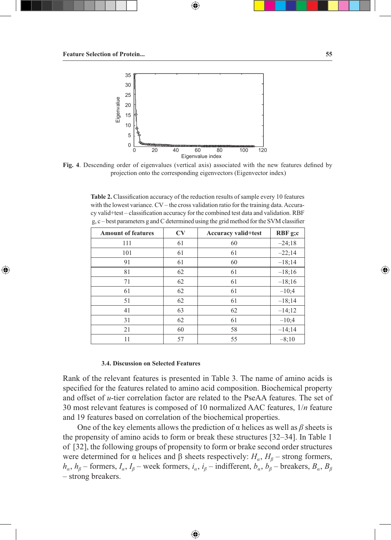

⊕

**Fig. 4**. Descending order of eigenvalues (vertical axis) associated with the new features defined by projection onto the corresponding eigenvectors (Eigenvector index)

**Table 2.** Classification accuracy of the reduction results of sample every 10 features with the lowest variance. CV – the cross validation ratio for the training data. Accuracy valid+test – classification accuracy for the combined test data and validation. RBF g, c – best parameters g and C determined using the grid method for the SVM classifier

| <b>Amount of features</b> | CV | Accuracy valid+test | RBF g;c  |
|---------------------------|----|---------------------|----------|
| 111                       | 61 | 60                  | $-24;18$ |
| 101                       | 61 | 61                  | $-22;14$ |
| 91                        | 61 | 60                  | $-18;14$ |
| 81                        | 62 | 61                  | $-18;16$ |
| 71                        | 62 | 61                  | $-18;16$ |
| 61                        | 62 | 61                  | $-10:4$  |
| 51                        | 62 | 61                  | $-18;14$ |
| 41                        | 63 | 62                  | $-14;12$ |
| 31                        | 62 | 61                  | $-10:4$  |
| 21                        | 60 | 58                  | $-14;14$ |
| 11                        | 57 | 55                  | $-8;10$  |

#### **3.4. Discussion on Selected Features**

Rank of the relevant features is presented in Table 3. The name of amino acids is specified for the features related to amino acid composition. Biochemical property and offset of *u*-tier correlation factor are related to the PseAA features. The set of 30 most relevant features is composed of 10 normalized AAC features, 1/*n* feature and 19 features based on correlation of the biochemical properties.

One of the key elements allows the prediction of α helices as well as  $β$  sheets is the propensity of amino acids to form or break these structures [32–34]. In Table 1 of [32], the following groups of propensity to form or brake second order structures were determined for α helices and β sheets respectively:  $H_a$ ,  $H_b$  – strong formers, *h<sub>α</sub>*, *h<sub>β</sub>* – formers, *I<sub>α</sub>*, *I<sub>β</sub>* – week formers, *i<sub>α</sub>*, *i<sub>β</sub>* – indifferent, *b<sub>α</sub>*, *b<sub>β</sub>* – breakers, *B<sub>α</sub>*, *B<sub>β</sub>* – strong breakers.

⊕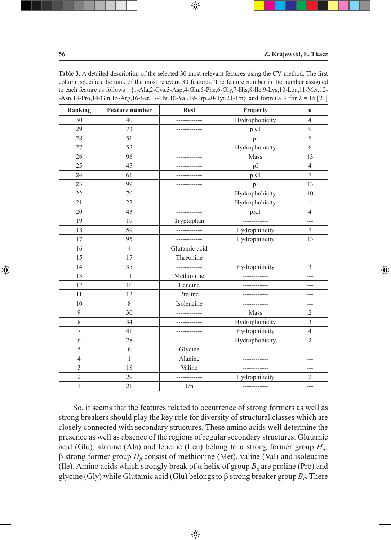| Ranking        | <b>Feature number</b> | <b>Rest</b>   | <b>Property</b> | <b>u</b>       |  |  |
|----------------|-----------------------|---------------|-----------------|----------------|--|--|
| 30             | 40                    |               | Hydrophobicity  | $\overline{4}$ |  |  |
| 29             | 73                    |               | pK1             | 9              |  |  |
| 28             | 51                    |               | pI              |                |  |  |
| 27             | 52                    |               | Hydrophobicity  | 6              |  |  |
| 26             | 96                    |               | Mass            | 13             |  |  |
| 25             | 45                    |               | pI              | $\overline{4}$ |  |  |
| 24             | 61                    |               | pK1             | $\overline{7}$ |  |  |
| 23             | 99                    |               | pI              | 13             |  |  |
| 22             | 76                    |               | Hydrophobicity  | 10             |  |  |
| 21             | 22                    |               | Hydrophobicity  | 1              |  |  |
| 20             | 43                    | ---------     | pK1             | $\overline{4}$ |  |  |
| 19             | 19                    | Tryptophan    | ------------    |                |  |  |
| 18             | 59                    | ------------  | Hydrophilicity  | $\tau$         |  |  |
| 17             | 95                    |               | Hydrophilicity  | 13             |  |  |
| 16             | $\overline{4}$        | Glutamic acid |                 | ---            |  |  |
| 15             | 17                    | Threonine     | ------------    | ---            |  |  |
| 14             | 35                    | ------------- | Hydrophilicity  | 3              |  |  |
| 13             | 11                    | Methionine    | ------------    | ---            |  |  |
| 12             | 10                    | Leucine       |                 | ---            |  |  |
| 11             | 13                    | Proline       |                 |                |  |  |
| 10             | 8                     | Isoleucine    |                 | ---            |  |  |
| 9              | 30                    | ------------  | Mass            | $\overline{2}$ |  |  |
| 8              | 34                    |               | Hydrophobicity  | 3              |  |  |
| $\overline{7}$ | 41                    |               | Hydrophilicity  | $\overline{4}$ |  |  |
| 6              | 28                    | ------------  | Hydrophobicity  | $\overline{2}$ |  |  |
| 5              | 6                     | Glycine       |                 | ---            |  |  |
| $\overline{4}$ | 1                     | Alanine       |                 | ---            |  |  |
| 3              | 18                    | Valine        | ------------    | ---            |  |  |
| $\overline{c}$ | 29                    |               | Hydrophilicity  | 2              |  |  |
| $\mathbf{1}$   | 21                    | 1/n           | ----------      | ---            |  |  |

**Table 3.** A detailed description of the selected 30 most relevant features using the CV method. The first column specifies the rank of the most relevant 30 features. The feature number is the number assigned to each feature as follows : {1-Ala,2-Cys,3-Asp,4-Glu,5-Phe,6-Gly,7-His,8-Ile,9-Lys,10-Leu,11-Met,12-

 $\textcolor{black}{\textcircled{\footnotesize{1}}}$ 

 So, it seems that the features related to occurrence of strong formers as well as strong breakers should play the key role for diversity of structural classes which are closely connected with secondary structures. These amino acids well determine the presence as well as absence of the regions of regular secondary structures. Glutamic acid (Glu), alanine (Ala) and leucine (Leu) belong to  $\alpha$  strong former group  $H_{\alpha}$ . β strong former group *Hβ* consist of methionine (Met), valine (Val) and isoleucine (Ile). Amino acids which strongly break of  $\alpha$  helix of group  $B_\alpha$  are proline (Pro) and glycine (Gly) while Glutamic acid (Glu) belongs to β strong breaker group  $B_\beta$ . There

⊕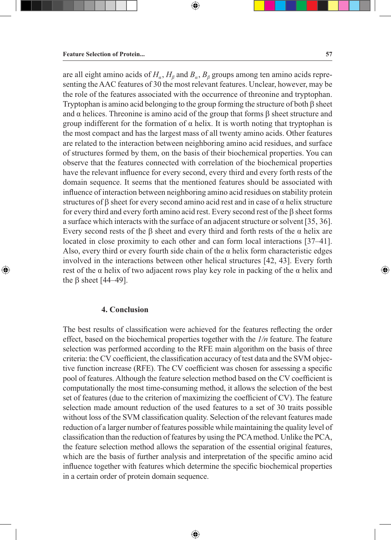are all eight amino acids of  $H_a$ ,  $H_\beta$  and  $B_\alpha$ ,  $B_\beta$  groups among ten amino acids representing the AAC features of 30 the most relevant features. Unclear, however, may be the role of the features associated with the occurrence of threonine and tryptophan. Tryptophan is amino acid belonging to the group forming the structure of both β sheet and  $\alpha$  helices. Threonine is amino acid of the group that forms  $\beta$  sheet structure and group indifferent for the formation of α helix. It is worth noting that tryptophan is the most compact and has the largest mass of all twenty amino acids. Other features are related to the interaction between neighboring amino acid residues, and surface of structures formed by them, on the basis of their biochemical properties. You can observe that the features connected with correlation of the biochemical properties have the relevant influence for every second, every third and every forth rests of the domain sequence. It seems that the mentioned features should be associated with influence of interaction between neighboring amino acid residues on stability protein structures of  $\beta$  sheet for every second amino acid rest and in case of  $\alpha$  helix structure for every third and every forth amino acid rest. Every second rest of the  $\beta$  sheet forms a surface which interacts with the surface of an adjacent structure or solvent [35, 36]. Every second rests of the  $\beta$  sheet and every third and forth rests of the  $\alpha$  helix are located in close proximity to each other and can form local interactions [37–41]. Also, every third or every fourth side chain of the  $\alpha$  helix form characteristic edges involved in the interactions between other helical structures [42, 43]. Every forth rest of the  $\alpha$  helix of two adjacent rows play key role in packing of the  $\alpha$  helix and the β sheet [44–49].

## **4. Conclusion**

⊕

The best results of classification were achieved for the features reflecting the order effect, based on the biochemical properties together with the *1/n* feature. The feature selection was performed according to the RFE main algorithm on the basis of three criteria: the CV coefficient, the classification accuracy of test data and the SVM objective function increase (RFE). The CV coefficient was chosen for assessing a specific pool of features. Although the feature selection method based on the CV coefficient is computationally the most time-consuming method, it allows the selection of the best set of features (due to the criterion of maximizing the coefficient of CV). The feature selection made amount reduction of the used features to a set of 30 traits possible without loss of the SVM classification quality. Selection of the relevant features made reduction of a larger number of features possible while maintaining the quality level of classification than the reduction of features by using the PCA method. Unlike the PCA, the feature selection method allows the separation of the essential original features, which are the basis of further analysis and interpretation of the specific amino acid influence together with features which determine the specific biochemical properties in a certain order of protein domain sequence.

⊕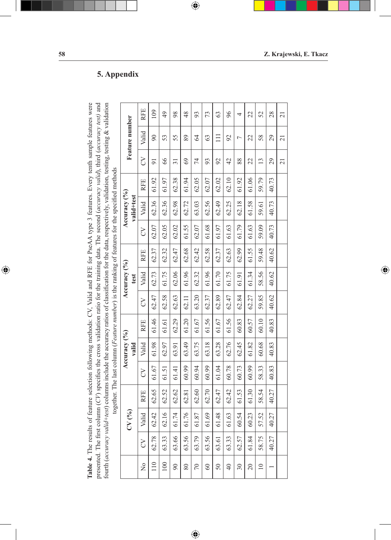**58 Z. Krajewski, E. Tkacz**

 $\bigoplus$ 

# **5. Appendix**

| te 4. The results of feature selection following methods: CV, Valid and RFE for PseAA type 3 features. Every tenth sample features were | d. The first column (CV) specifies the cross validation ratio for the training data. The second (accuracy valia), third (accuracy test) and | -ly, validation, testing, testing & val-<br>fourth ( <i>accuracy valid+test</i> ) columns include the accuracy ratios of classification for the data, respectively | together. The last column (Feature number) is the ranking of features for the specified method |
|-----------------------------------------------------------------------------------------------------------------------------------------|---------------------------------------------------------------------------------------------------------------------------------------------|--------------------------------------------------------------------------------------------------------------------------------------------------------------------|------------------------------------------------------------------------------------------------|
|                                                                                                                                         |                                                                                                                                             |                                                                                                                                                                    |                                                                                                |

|                                                                                                 | Feature number             | <b>RFE</b>    | $\overline{0}$ | 49    | 98       | 48    | 93            | 73     | 63    | 96             | 4              | 22             | 52              | 28    | $\overline{21}$ |
|-------------------------------------------------------------------------------------------------|----------------------------|---------------|----------------|-------|----------|-------|---------------|--------|-------|----------------|----------------|----------------|-----------------|-------|-----------------|
|                                                                                                 |                            | Valid         | $\infty$       | 53    | 55       | 89    | $\mathcal{Z}$ | $\Im$  | $\Xi$ | $\mathcal{S}$  | $\overline{ }$ | 22             | 58              | 29    | $\overline{c}$  |
|                                                                                                 |                            | 5             | $\overline{9}$ | 66    | 51       | 69    | 74            | 93     | 92    | 42             | 88             | 22             | $\overline{13}$ | 29    | $\overline{c}$  |
|                                                                                                 | Accuracy (%)<br>valid+test | <b>RFE</b>    | 61.92          | 61.97 | 62.38    | 61.94 | 62.05         | 62.07  | 62.02 | 62.10          | 61.92          | 61.06          | 59.79           | 40.73 |                 |
|                                                                                                 |                            | Valid         | 62.36          | 62.36 | 62.98    | 62.72 | 63.03         | 62.56  | 62.49 | 62.25          | 62.18          | 61.58          | 59.61           | 40.73 |                 |
|                                                                                                 |                            | S             | 62.07          | 62.05 | 62.02    | 61.55 | 62.07         | 61.68  | 61.97 | 61.63          | 61.79          | 61.63          | 59.09           | 40.73 |                 |
|                                                                                                 | Accuracy (%)<br>test       | <b>RFE</b>    | 62.37          | 62.32 | 62.47    | 62.68 | 62.42         | 62.58  | 62.37 | 62.63          | 62.99          | 61.55          | 59.48           | 40.62 |                 |
|                                                                                                 |                            | Valid         | 62.73          | 61.75 | 62.06    | 61.96 | 62.32         | 61.96  | 61.70 | 61.75          | 61.91          | 61.34          | 58.56           | 40.62 |                 |
|                                                                                                 |                            | <b>S</b>      | 62.47          | 62.58 | 62.63    | 62.11 | 63.20         | 62.37  | 62.89 | 62.47          | 62.84          | 62.27          | 59.85           | 40.62 |                 |
|                                                                                                 | Accuracy (%)<br>valid      | <b>RFE</b>    | 61.46          | 61.61 | 62.29    | 61.20 | 61.67         | 61.56  | 61.67 | 61.56          | 60.83          | 60.57          | 60.10           | 40.83 |                 |
| together. The last column (Feature number) is the ranking of features for the specified methods |                            | Valid         | 61.98          | 62.97 | 63.91    | 63.49 | 63.75         | 63.18  | 63.28 | 62.76          | 62.45          | 61.82          | 60.68           | 40.83 |                 |
|                                                                                                 |                            | 5             | 61.67          | 61.51 | 61.41    | 60.99 | 60.94         | 60.99  | 61.04 | 60.78          | 60.73          | 60.99          | 58.33           | 40.83 |                 |
|                                                                                                 |                            | <b>RFE</b>    | 62.65          | 62.52 | 62.62    | 62.81 | 62.60         | 62.70  | 62.47 | 62.42          | 61.53          | 61.30          | 58.54           | 40.27 |                 |
|                                                                                                 | CV(0, 0)                   | Valid         | 62.42          | 62.16 | 61.74    | 61.76 | 61.87         | 61.69  | 61.48 | 61.63          | 60.54          | 60.23          | 57.52           | 40.27 |                 |
|                                                                                                 |                            | <b>S</b>      | 62.78          | 63.33 | 63.66    | 63.56 | 63.79         | 63.56  | 63.61 | 63.33          | 62.57          | 61.84          | 58.75           | 40.27 |                 |
|                                                                                                 |                            | $\frac{1}{2}$ | 110            | 100   | $\infty$ | 80    | 70            | $60\,$ | 50    | $\overline{4}$ | 30             | $\overline{c}$ | $\overline{10}$ |       |                 |

 $\bigoplus$ 

 $\bigoplus$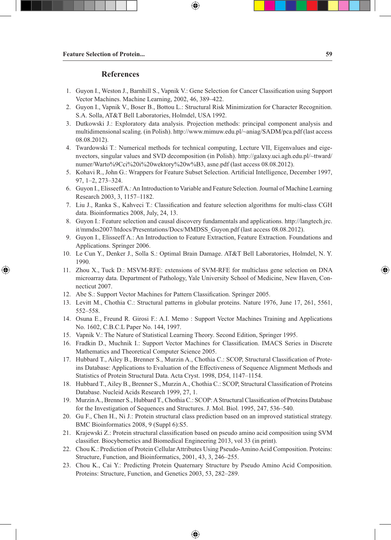# **References**

- 1. Guyon I., Weston J., Barnhill S., Vapnik V.: Gene Selection for Cancer Classification using Support Vector Machines. Machine Learning, 2002, 46, 389–422.
- 2. Guyon I., Vapnik V., Boser B., Bottou L.: Structural Risk Minimization for Character Recognition. S.A. Solla, AT&T Bell Laboratories, Holmdel, USA 1992.
- 3. Dutkowski J.: Exploratory data analysis. Projection methods: principal component analysis and multidimensional scaling. (in Polish). http://www.mimuw.edu.pl/~aniag/SADM/pca.pdf (last access 08.08.2012).
- 4. Twardowski T.: Numerical methods for technical computing, Lecture VII, Eigenvalues and eigenvectors, singular values and SVD decomposition (in Polish). http://galaxy.uci.agh.edu.pl/~ttward/ numer/Warto%9Cci%20i%20wektory%20w%B3, asne.pdf (last access 08.08.2012).
- 5. Kohavi R., John G.: Wrappers for Feature Subset Selection. Artificial Intelligence, December 1997, 97, 1–2, 273–324.
- 6. Guyon I., Elisseeff A.: An Introduction to Variable and Feature Selection. Journal of Machine Learning Research 2003, 3, 1157–1182.
- 7. Liu J., Ranka S., Kahveci T.: Classification and feature selection algorithms for multi-class CGH data. Bioinformatics 2008, July, 24, 13.
- 8. Guyon I.: Feature selection and causal discovery fundamentals and applications. http://langtech.jrc. it/mmdss2007/htdocs/Presentations/Docs/MMDSS\_Guyon.pdf (last access 08.08.2012).
- 9. Guyon I., Elisseeff A.: An Introduction to Feature Extraction, Feature Extraction. Foundations and Applications. Springer 2006.
- 10. Le Cun Y., Denker J., Solla S.: Optimal Brain Damage. AT&T Bell Laboratories, Holmdel, N. Y. 1990.
- 11. Zhou X., Tuck D.: MSVM-RFE: extensions of SVM-RFE for multiclass gene selection on DNA microarray data. Department of Pathology, Yale University School of Medicine, New Haven, Connecticut 2007.
- 12. Abe S.: Support Vector Machines for Pattern Classification. Springer 2005.
- 13. Levitt M., Chothia C.: Structural patterns in globular proteins. Nature 1976, June 17, 261, 5561, 552–558.
- 14. Osuna E., Freund R. Girosi F.: A.I. Memo : Support Vector Machines Training and Applications No. 1602, C.B.C.L Paper No. 144, 1997.
- 15. Vapnik V.: The Nature of Statistical Learning Theory. Second Edition, Springer 1995.
- 16. Fradkin D., Muchnik I.: Support Vector Machines for Classification. IMACS Series in Discrete Mathematics and Theoretical Computer Science 2005.
- 17. Hubbard T., Ailey B., Brenner S., Murzin A., Chothia C.: SCOP, Structural Classification of Proteins Database: Applications to Evaluation of the Effectiveness of Sequence Alignment Methods and Statistics of Protein Structural Data. Acta Cryst. 1998, D54, 1147–1154.
- 18. Hubbard T., Ailey B., Brenner S., Murzin A., Chothia C.: SCOP, Structural Classification of Proteins Database. Nucleid Acids Research 1999, 27, 1.
- 19. Murzin A., Brenner S., Hubbard T., Chothia C.: SCOP: A Structural Classification of Proteins Database for the Investigation of Sequences and Structures. J. Mol. Biol. 1995, 247, 536–540.
- 20. Gu F., Chen H., Ni J.: Protein structural class prediction based on an improved statistical strategy. BMC Bioinformatics 2008, 9 (Suppl 6):S5.
- 21. Krajewski Z.: Protein structural classification based on pseudo amino acid composition using SVM classifier. Biocybernetics and Biomedical Engineering 2013, vol 33 (in print).
- 22. Chou K.: Prediction of Protein Cellular Attributes Using Pseudo-Amino Acid Composition. Proteins: Structure, Function, and Bioinformatics, 2001, 43, 3, 246–255.
- 23. Chou K., Cai Y.: Predicting Protein Quaternary Structure by Pseudo Amino Acid Composition. Proteins: Structure, Function, and Genetics 2003, 53, 282–289.

⊕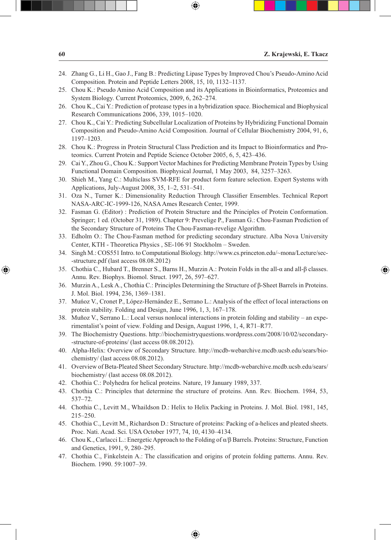↔

- 24. Zhang G., Li H., Gao J., Fang B.: Predicting Lipase Types by Improved Chou's Pseudo-Amino Acid Composition. Protein and Peptide Letters 2008, 15, 10, 1132–1137.
- 25. Chou K.: Pseudo Amino Acid Composition and its Applications in Bioinformatics, Proteomics and System Biology. Current Proteomics, 2009, 6, 262–274.
- 26. Chou K., Cai Y.: Prediction of protease types in a hybridization space. Biochemical and Biophysical Research Communications 2006, 339, 1015–1020.
- 27. Chou K., Cai Y.: Predicting Subcellular Localization of Proteins by Hybridizing Functional Domain Composition and Pseudo-Amino Acid Composition. Journal of Cellular Biochemistry 2004, 91, 6, 1197–1203.
- 28. Chou K.: Progress in Protein Structural Class Prediction and its Impact to Bioinformatics and Proteomics. Current Protein and Peptide Science October 2005, 6, 5, 423–436.
- 29. Cai Y., Zhou G., Chou K.: Support Vector Machines for Predicting Membrane Protein Types by Using Functional Domain Composition. Biophysical Journal, 1 May 2003, 84, 3257–3263.
- 30. Shieh M., Yang C.: Multiclass SVM-RFE for product form feature selection. Expert Systems with Applications, July-August 2008, 35, 1–2, 531–541.
- 31. Oza N., Turner K.: Dimensionality Reduction Through Classifier Ensembles. Technical Report NASA-ARC-IC-1999-126, NASA Ames Research Center, 1999.
- 32. Fasman G. (Editor) : Prediction of Protein Structure and the Principles of Protein Conformation. Springer; 1 ed. (October 31, 1989). Chapter 9: Prevelige P., Fasman G.: Chou-Fasman Prediction of the Secondary Structure of Proteins The Chou-Fasman-revelige Algorithm.
- 33. Edholm O.: The Chou-Fasman method for predicting secondary structure. Alba Nova University Center, KTH - Theoretica Physics , SE-106 91 Stockholm – Sweden.
- 34. Singh M.: COS551 Intro. to Computational Biology. http://www.cs.princeton.edu/~mona/Lecture/sec- -structure.pdf (last access 08.08.2012)
- 35. Chothia C., Hubard T., Brenner S., Barns H., Murzin A.: Protein Folds in the all-α and all-β classes. Annu. Rev. Biophys. Biomol. Struct. 1997, 26, 597–627.
- 36. Murzin A., Lesk A., Chothia C.: Principles Determining the Structure of β-Sheet Barrels in Proteins. J. Mol. Biol. 1994, 236, 1369–1381.
- 37. Muńoz V., Cronet P., López-Hernández E., Serrano L.: Analysis of the effect of local interactions on protein stability. Folding and Design, June 1996, 1, 3, 167–178.
- 38. Muñoz V., Serrano L.: Local versus nonlocal interactions in protein folding and stability an experimentalist's point of view. Folding and Design, August 1996, 1, 4, R71–R77.
- 39. The Biochemistry Questions. http://biochemistryquestions.wordpress.com/2008/10/02/secondary- -structure-of-proteins/ (last access 08.08.2012).
- 40. Alpha-Helix: Overview of Secondary Structure. http://mcdb-webarchive.mcdb.ucsb.edu/sears/biochemistry/ (last access 08.08.2012).
- 41. Overview of Beta-Pleated Sheet Secondary Structure. http://mcdb-webarchive.mcdb.ucsb.edu/sears/ biochemistry/ (last access 08.08.2012).
- 42. Chothia C.: Polyhedra for helical proteins. Nature, 19 January 1989, 337.
- 43. Chothia C.: Principles that determine the structure of proteins. Ann. Rev. Biochem. 1984, 53, 537–72.
- 44. Chothia C., Levitt M., Whaildson D.: Helix to Helix Packing in Proteins. J. Mol. Biol. 1981, 145, 215–250.
- 45. Chothia C., Levitt M., Richardson D.: Structure of proteins: Packing of a-helices and pleated sheets. Proc. Nati. Acad. Sci. USA October 1977, 74, 10, 4130–4134.
- 46. Chou K., Carlacci L.: Energetic Approach to the Folding of α/β Barrels. Proteins: Structure, Function and Genetics, 1991, 9, 280–295.
- 47. Chothia C., Finkelstein A.: The classification and origins of protein folding patterns. Annu. Rev. Biochem. 1990. 59:1007–39.

⊕

⊕